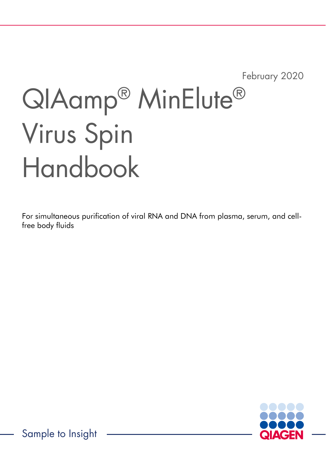February 2020

# QIAamp® MinElute® Virus Spin Handbook

For simultaneous purification of viral RNA and DNA from plasma, serum, and cellfree body fluids



Sample to Insight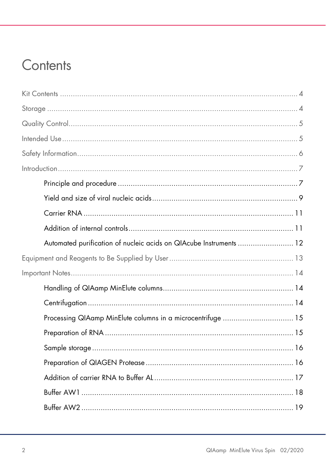### Contents

| Automated purification of nucleic acids on QIAcube Instruments  12 |  |
|--------------------------------------------------------------------|--|
|                                                                    |  |
|                                                                    |  |
|                                                                    |  |
|                                                                    |  |
| Processing QIAamp MinElute columns in a microcentrifuge  15        |  |
|                                                                    |  |
|                                                                    |  |
|                                                                    |  |
|                                                                    |  |
|                                                                    |  |
|                                                                    |  |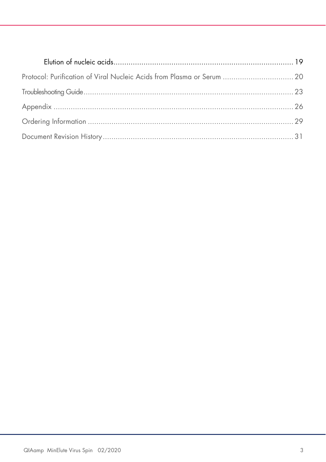| Protocol: Purification of Viral Nucleic Acids from Plasma or Serum  20 |  |
|------------------------------------------------------------------------|--|
|                                                                        |  |
|                                                                        |  |
|                                                                        |  |
|                                                                        |  |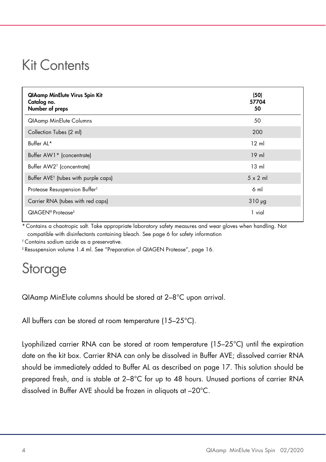### Kit Contents

| <b>QIAamp MinElute Virus Spin Kit</b><br>Catalog no.<br>Number of preps | (50)<br>57704<br>50 |
|-------------------------------------------------------------------------|---------------------|
| <b>QIAamp MinElute Columns</b>                                          | 50                  |
| Collection Tubes (2 ml)                                                 | 200                 |
| Buffer AL*                                                              | $12 \text{ ml}$     |
| Buffer AW1* (concentrate)                                               | $19$ m              |
| Buffer AW2 <sup>†</sup> (concentrate)                                   | $13 \text{ ml}$     |
| Buffer AVE <sup>†</sup> (tubes with purple caps)                        | $5 \times 2$ ml     |
| Protease Resuspension Buffer <sup>t</sup>                               | 6 ml                |
| Carrier RNA (tubes with red caps)                                       | $310 \mu g$         |
| QIAGEN <sup>®</sup> Protease <sup>‡</sup>                               | 1 vial              |

Contains a chaotropic salt. Take appropriate laboratory safety measures and wear gloves when handling. Not compatible with disinfectants containing bleach. See page 6 for safety information

† Contains sodium azide as a preservative.

‡ Resuspension volume 1.4 ml. See "Preparation of QIAGEN Protease", page 16.

### Storage

QIAamp MinElute columns should be stored at 2–8°C upon arrival.

All buffers can be stored at room temperature (15–25°C).

Lyophilized carrier RNA can be stored at room temperature (15–25°C) until the expiration date on the kit box. Carrier RNA can only be dissolved in Buffer AVE; dissolved carrier RNA should be immediately added to Buffer AL as described on page 17. This solution should be prepared fresh, and is stable at 2–8°C for up to 48 hours. Unused portions of carrier RNA dissolved in Buffer AVE should be frozen in aliquots at –20°C.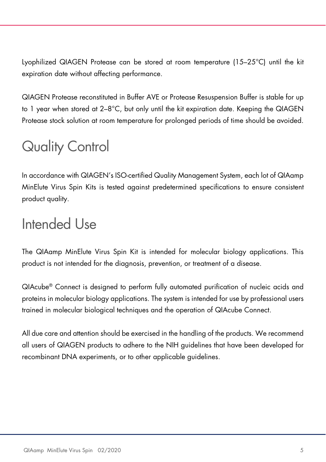Lyophilized QIAGEN Protease can be stored at room temperature (15–25°C) until the kit expiration date without affecting performance.

QIAGEN Protease reconstituted in Buffer AVE or Protease Resuspension Buffer is stable for up to 1 year when stored at  $2-8$ °C, but only until the kit expiration date. Keeping the QIAGEN Protease stock solution at room temperature for prolonged periods of time should be avoided.

# Quality Control

In accordance with QIAGEN's ISO-certified Quality Management System, each lot of QIAamp MinElute Virus Spin Kits is tested against predetermined specifications to ensure consistent product quality.

### Intended Use

The QIAamp MinElute Virus Spin Kit is intended for molecular biology applications. This product is not intended for the diagnosis, prevention, or treatment of a disease.

QIAcube® Connect is designed to perform fully automated purification of nucleic acids and proteins in molecular biology applications. The system is intended for use by professional users trained in molecular biological techniques and the operation of QIAcube Connect.

All due care and attention should be exercised in the handling of the products. We recommend all users of QIAGEN products to adhere to the NIH guidelines that have been developed for recombinant DNA experiments, or to other applicable guidelines.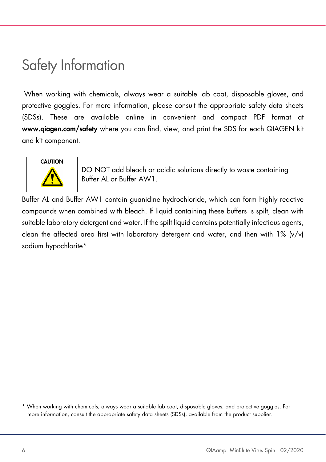# Safety Information

 When working with chemicals, always wear a suitable lab coat, disposable gloves, and protective goggles. For more information, please consult the appropriate safety data sheets (SDSs). These are available online in convenient and compact PDF format at www.qiagen.com/safety where you can find, view, and print the SDS for each QIAGEN kit and kit component.



DO NOT add bleach or acidic solutions directly to waste containing Buffer AL or Buffer AW1.

Buffer AL and Buffer AW1 contain guanidine hydrochloride, which can form highly reactive compounds when combined with bleach. If liquid containing these buffers is spilt, clean with suitable laboratory detergent and water. If the spilt liquid contains potentially infectious agents, clean the affected area first with laboratory detergent and water, and then with  $1\%$  (v/v) sodium hypochlorite\*.

<sup>\*</sup> When working with chemicals, always wear a suitable lab coat, disposable gloves, and protective goggles. For more information, consult the appropriate safety data sheets (SDSs), available from the product supplier.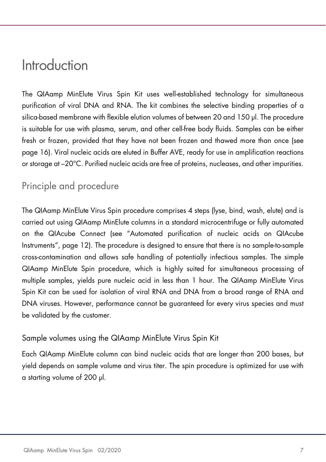### Introduction

The QIAamp MinElute Virus Spin Kit uses well-established technology for simultaneous purification of viral DNA and RNA. The kit combines the selective binding properties of a silica-based membrane with flexible elution volumes of between 20 and 150 µl. The procedure is suitable for use with plasma, serum, and other cell-free body fluids. Samples can be either fresh or frozen, provided that they have not been frozen and thawed more than once (see page 16). Viral nucleic acids are eluted in Buffer AVE, ready for use in amplification reactions or storage at –20°C. Purified nucleic acids are free of proteins, nucleases, and other impurities.

#### Principle and procedure

The QIAamp MinElute Virus Spin procedure comprises 4 steps (lyse, bind, wash, elute) and is carried out using QIAamp MinElute columns in a standard microcentrifuge or fully automated on the QIAcube Connect (see "Automated purification of nucleic acids on QIAcube Instruments", page 12). The procedure is designed to ensure that there is no sample-to-sample cross-contamination and allows safe handling of potentially infectious samples. The simple QIAamp MinElute Spin procedure, which is highly suited for simultaneous processing of multiple samples, yields pure nucleic acid in less than 1 hour. The QIAamp MinElute Virus Spin Kit can be used for isolation of viral RNA and DNA from a broad range of RNA and DNA viruses. However, performance cannot be guaranteed for every virus species and must be validated by the customer.

#### Sample volumes using the QIAamp MinElute Virus Spin Kit

Each QIAamp MinElute column can bind nucleic acids that are longer than 200 bases, but yield depends on sample volume and virus titer. The spin procedure is optimized for use with a starting volume of 200 µl.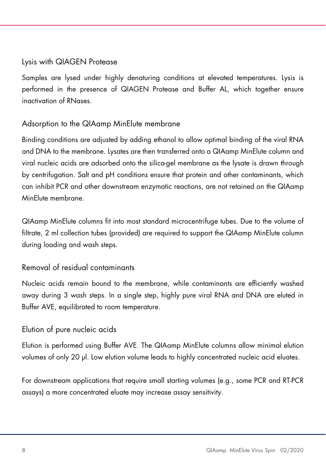#### Lysis with QIAGEN Protease

Samples are lysed under highly denaturing conditions at elevated temperatures. Lysis is performed in the presence of QIAGEN Protease and Buffer AL, which together ensure inactivation of RNases.

#### Adsorption to the QIAamp MinElute membrane

Binding conditions are adjusted by adding ethanol to allow optimal binding of the viral RNA and DNA to the membrane. Lysates are then transferred onto a QIAamp MinElute column and viral nucleic acids are adsorbed onto the silica-gel membrane as the lysate is drawn through by centrifugation. Salt and pH conditions ensure that protein and other contaminants, which can inhibit PCR and other downstream enzymatic reactions, are not retained on the QIAamp MinElute membrane.

QIAamp MinElute columns fit into most standard microcentrifuge tubes. Due to the volume of filtrate, 2 ml collection tubes (provided) are required to support the QIAamp MinElute column during loading and wash steps.

#### Removal of residual contaminants

Nucleic acids remain bound to the membrane, while contaminants are efficiently washed away during 3 wash steps. In a single step, highly pure viral RNA and DNA are eluted in Buffer AVE, equilibrated to room temperature.

#### Elution of pure nucleic acids

Elution is performed using Buffer AVE. The QIAamp MinElute columns allow minimal elution volumes of only 20 µl. Low elution volume leads to highly concentrated nucleic acid eluates.

For downstream applications that require small starting volumes (e.g., some PCR and RT-PCR assays) a more concentrated eluate may increase assay sensitivity.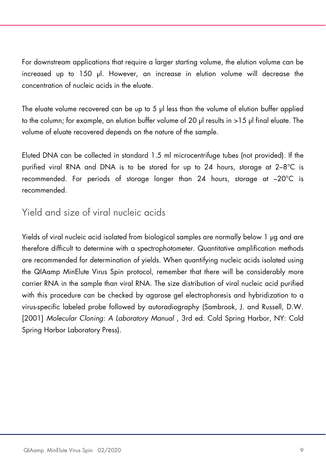For downstream applications that require a larger starting volume, the elution volume can be increased up to 150 µl. However, an increase in elution volume will decrease the concentration of nucleic acids in the eluate.

The eluate volume recovered can be up to 5 µl less than the volume of elution buffer applied to the column; for example, an elution buffer volume of 20 µl results in >15 µl final eluate. The volume of eluate recovered depends on the nature of the sample.

Eluted DNA can be collected in standard 1.5 ml microcentrifuge tubes (not provided). If the purified viral RNA and DNA is to be stored for up to 24 hours, storage at 2–8°C is recommended. For periods of storage longer than 24 hours, storage at –20°C is recommended.

#### Yield and size of viral nucleic acids

Yields of viral nucleic acid isolated from biological samples are normally below 1 µg and are therefore difficult to determine with a spectrophotometer. Quantitative amplification methods are recommended for determination of yields. When quantifying nucleic acids isolated using the QIAamp MinElute Virus Spin protocol, remember that there will be considerably more carrier RNA in the sample than viral RNA. The size distribution of viral nucleic acid purified with this procedure can be checked by agarose gel electrophoresis and hybridization to a virus-specific labeled probe followed by autoradiography (Sambrook, J. and Russell, D.W. [2001] Molecular Cloning: A Laboratory Manual , 3rd ed. Cold Spring Harbor, NY: Cold Spring Harbor Laboratory Press).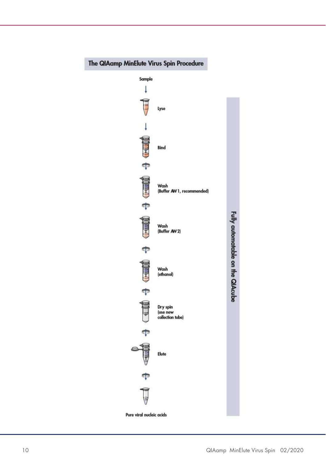

#### The QIAamp MinElute Virus Spin Procedure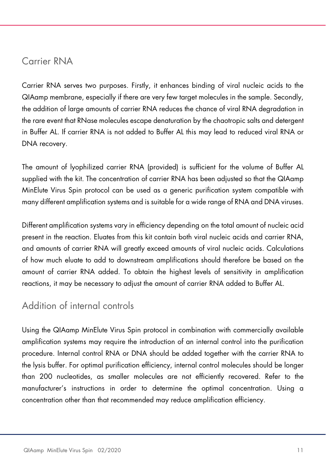#### Carrier RNA

Carrier RNA serves two purposes. Firstly, it enhances binding of viral nucleic acids to the QIAamp membrane, especially if there are very few target molecules in the sample. Secondly, the addition of large amounts of carrier RNA reduces the chance of viral RNA degradation in the rare event that RNase molecules escape denaturation by the chaotropic salts and detergent in Buffer AL. If carrier RNA is not added to Buffer AL this may lead to reduced viral RNA or DNA recovery.

The amount of lyophilized carrier RNA (provided) is sufficient for the volume of Buffer AL supplied with the kit. The concentration of carrier RNA has been adjusted so that the QIAamp MinElute Virus Spin protocol can be used as a generic purification system compatible with many different amplification systems and is suitable for a wide range of RNA and DNA viruses.

Different amplification systems vary in efficiency depending on the total amount of nucleic acid present in the reaction. Eluates from this kit contain both viral nucleic acids and carrier RNA, and amounts of carrier RNA will greatly exceed amounts of viral nucleic acids. Calculations of how much eluate to add to downstream amplifications should therefore be based on the amount of carrier RNA added. To obtain the highest levels of sensitivity in amplification reactions, it may be necessary to adjust the amount of carrier RNA added to Buffer AL.

#### Addition of internal controls

Using the QIAamp MinElute Virus Spin protocol in combination with commercially available amplification systems may require the introduction of an internal control into the purification procedure. Internal control RNA or DNA should be added together with the carrier RNA to the lysis buffer. For optimal purification efficiency, internal control molecules should be longer than 200 nucleotides, as smaller molecules are not efficiently recovered. Refer to the manufacturer's instructions in order to determine the optimal concentration. Using a concentration other than that recommended may reduce amplification efficiency.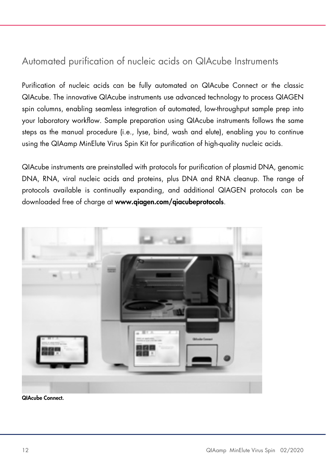#### Automated purification of nucleic acids on QIAcube Instruments

Purification of nucleic acids can be fully automated on QIAcube Connect or the classic QIAcube. The innovative QIAcube instruments use advanced technology to process QIAGEN spin columns, enabling seamless integration of automated, low-throughput sample prep into your laboratory workflow. Sample preparation using QIAcube instruments follows the same steps as the manual procedure (i.e., lyse, bind, wash and elute), enabling you to continue using the QIAamp MinElute Virus Spin Kit for purification of high-quality nucleic acids.

QIAcube instruments are preinstalled with protocols for purification of plasmid DNA, genomic DNA, RNA, viral nucleic acids and proteins, plus DNA and RNA cleanup. The range of protocols available is continually expanding, and additional QIAGEN protocols can be downloaded free of charge at www.qiagen.com/aiacubeprotocols.



QIAcube Connect.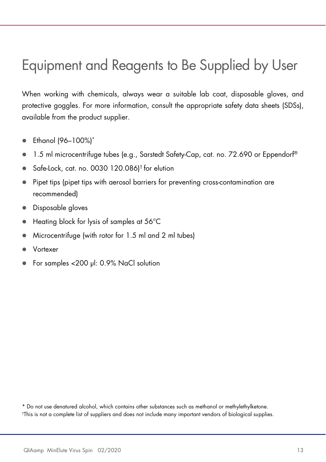# Equipment and Reagents to Be Supplied by User

When working with chemicals, always wear a suitable lab coat, disposable gloves, and protective goggles. For more information, consult the appropriate safety data sheets (SDSs), available from the product supplier.

- Ethanol (96–100%)\*
- 1.5 ml microcentrifuge tubes (e.g., Sarstedt Safety-Cap, cat. no. 72.690 or Eppendorf<sup>®</sup>
- Safe-Lock, cat. no. 0030 120.086)<sup>†</sup> for elution
- Pipet tips (pipet tips with aerosol barriers for preventing cross-contamination are recommended)
- Disposable gloves
- Heating block for lysis of samples at 56°C
- Microcentrifuge (with rotor for 1.5 ml and 2 ml tubes)
- Vortexer
- For samples <200 µl: 0.9% NaCl solution

\* Do not use denatured alcohol, which contains other substances such as methanol or methylethylketone. † This is not a complete list of suppliers and does not include many important vendors of biological supplies.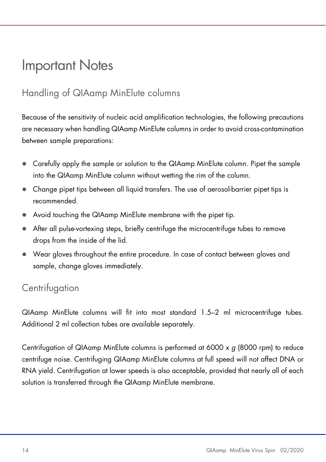### Important Notes

#### Handling of QIAamp MinElute columns

Because of the sensitivity of nucleic acid amplification technologies, the following precautions are necessary when handling QIAamp MinElute columns in order to avoid cross-contamination between sample preparations:

- Carefully apply the sample or solution to the QIAamp MinElute column. Pipet the sample into the QIAamp MinElute column without wetting the rim of the column.
- Change pipet tips between all liquid transfers. The use of aerosol-barrier pipet tips is recommended.
- Avoid touching the QIAamp MinElute membrane with the pipet tip.
- After all pulse-vortexing steps, briefly centrifuge the microcentrifuge tubes to remove drops from the inside of the lid.
- Wear gloves throughout the entire procedure. In case of contact between gloves and sample, change gloves immediately.

#### **Centrifugation**

QIAamp MinElute columns will fit into most standard 1.5–2 ml microcentrifuge tubes. Additional 2 ml collection tubes are available separately.

Centrifugation of QIAamp MinElute columns is performed at 6000 x  $q$  (8000 rpm) to reduce centrifuge noise. Centrifuging QIAamp MinElute columns at full speed will not affect DNA or RNA yield. Centrifugation at lower speeds is also acceptable, provided that nearly all of each solution is transferred through the QIAamp MinElute membrane.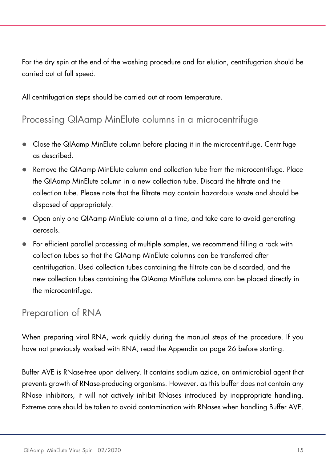For the dry spin at the end of the washing procedure and for elution, centrifugation should be carried out at full speed.

All centrifugation steps should be carried out at room temperature.

#### Processing QIAamp MinElute columns in a microcentrifuge

- Close the QIAamp MinElute column before placing it in the microcentrifuge. Centrifuge as described.
- Remove the QIAamp MinElute column and collection tube from the microcentrifuge. Place the QIAamp MinElute column in a new collection tube. Discard the filtrate and the collection tube. Please note that the filtrate may contain hazardous waste and should be disposed of appropriately.
- Open only one QIAamp MinElute column at a time, and take care to avoid generating aerosols.
- For efficient parallel processing of multiple samples, we recommend filling a rack with collection tubes so that the QIAamp MinElute columns can be transferred after centrifugation. Used collection tubes containing the filtrate can be discarded, and the new collection tubes containing the QIAamp MinElute columns can be placed directly in the microcentrifuge.

#### Preparation of RNA

When preparing viral RNA, work quickly during the manual steps of the procedure. If you have not previously worked with RNA, read the Appendix on page 26 before starting.

Buffer AVE is RNase-free upon delivery. It contains sodium azide, an antimicrobial agent that prevents growth of RNase-producing organisms. However, as this buffer does not contain any RNase inhibitors, it will not actively inhibit RNases introduced by inappropriate handling. Extreme care should be taken to avoid contamination with RNases when handling Buffer AVE.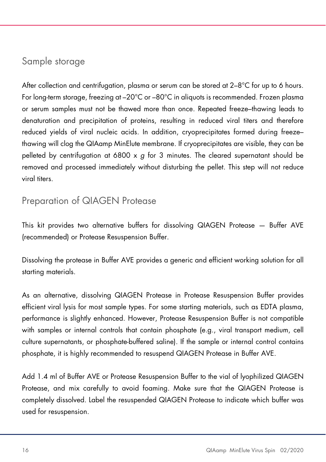#### Sample storage

After collection and centrifugation, plasma or serum can be stored at  $2-8^{\circ}$ C for up to 6 hours. For long-term storage, freezing at –20°C or –80°C in aliquots is recommended. Frozen plasma or serum samples must not be thawed more than once. Repeated freeze–thawing leads to denaturation and precipitation of proteins, resulting in reduced viral titers and therefore reduced yields of viral nucleic acids. In addition, cryoprecipitates formed during freeze– thawing will clog the QIAamp MinElute membrane. If cryoprecipitates are visible, they can be pelleted by centrifugation at 6800  $\times$  g for 3 minutes. The cleared supernatant should be removed and processed immediately without disturbing the pellet. This step will not reduce viral titers.

#### Preparation of QIAGEN Protease

This kit provides two alternative buffers for dissolving QIAGEN Protease — Buffer AVE (recommended) or Protease Resuspension Buffer.

Dissolving the protease in Buffer AVE provides a generic and efficient working solution for all starting materials.

As an alternative, dissolving QIAGEN Protease in Protease Resuspension Buffer provides efficient viral lysis for most sample types. For some starting materials, such as EDTA plasma, performance is slightly enhanced. However, Protease Resuspension Buffer is not compatible with samples or internal controls that contain phosphate (e.g., viral transport medium, cell culture supernatants, or phosphate-buffered saline). If the sample or internal control contains phosphate, it is highly recommended to resuspend QIAGEN Protease in Buffer AVE.

Add 1.4 ml of Buffer AVE or Protease Resuspension Buffer to the vial of lyophilized QIAGEN Protease, and mix carefully to avoid foaming. Make sure that the QIAGEN Protease is completely dissolved. Label the resuspended QIAGEN Protease to indicate which buffer was used for resuspension.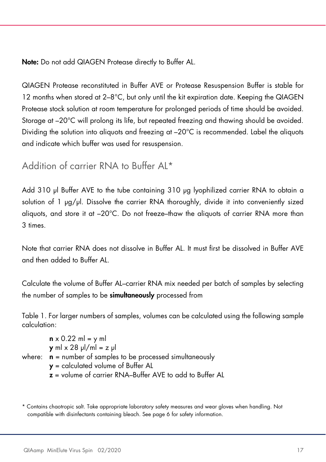Note: Do not add QIAGEN Protease directly to Buffer AL.

QIAGEN Protease reconstituted in Buffer AVE or Protease Resuspension Buffer is stable for 12 months when stored at 2–8°C, but only until the kit expiration date. Keeping the QIAGEN Protease stock solution at room temperature for prolonged periods of time should be avoided. Storage at –20°C will prolong its life, but repeated freezing and thawing should be avoided. Dividing the solution into aliquots and freezing at –20°C is recommended. Label the aliquots and indicate which buffer was used for resuspension.

Addition of carrier RNA to Buffer AL\*

Add 310 µl Buffer AVE to the tube containing 310 µg lyophilized carrier RNA to obtain a solution of 1 µg/µl. Dissolve the carrier RNA thoroughly, divide it into conveniently sized aliquots, and store it at –20°C. Do not freeze–thaw the aliquots of carrier RNA more than 3 times.

Note that carrier RNA does not dissolve in Buffer AL. It must first be dissolved in Buffer AVE and then added to Buffer AL.

Calculate the volume of Buffer AL–carrier RNA mix needed per batch of samples by selecting the number of samples to be **simultaneously** processed from

Table 1. For larger numbers of samples, volumes can be calculated using the following sample calculation:

| $\mathbf{n} \times 0.22$ ml = y ml                                     |
|------------------------------------------------------------------------|
| $y$ ml $\times$ 28 $y$ l/ml = z $y$ l                                  |
| where: $\mathbf{n}$ = number of samples to be processed simultaneously |
| $y =$ calculated volume of Buffer AL                                   |
| $z$ = volume of carrier RNA-Buffer AVE to add to Buffer AL             |

<sup>\*</sup> Contains chaotropic salt. Take appropriate laboratory safety measures and wear gloves when handling. Not compatible with disinfectants containing bleach. See page 6 for safety information.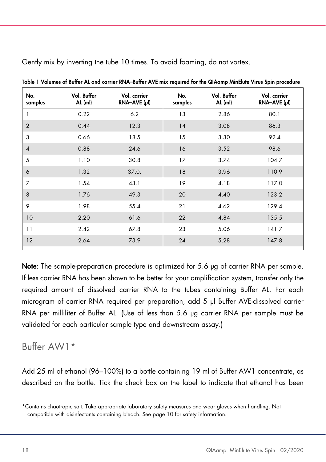|                |                        |                              |                | $  -$                  |                              |
|----------------|------------------------|------------------------------|----------------|------------------------|------------------------------|
| No.<br>samples | Vol. Buffer<br>AL (ml) | Vol. carrier<br>RNA-AVE (µl) | No.<br>samples | Vol. Buffer<br>AL (ml) | Vol. carrier<br>RNA-AVE (µl) |
| 1              | 0.22                   | 6.2                          | 13             | 2.86                   | 80.1                         |
| $\overline{2}$ | 0.44                   | 12.3                         | 14             | 3.08                   | 86.3                         |
| 3              | 0.66                   | 18.5                         | 15             | 3.30                   | 92.4                         |
| $\overline{4}$ | 0.88                   | 24.6                         | 16             | 3.52                   | 98.6                         |
| 5              | 1.10                   | 30.8                         | 17             | 3.74                   | 104.7                        |
| 6              | 1.32                   | 37.0.                        | 18             | 3.96                   | 110.9                        |
| $\overline{7}$ | 1.54                   | 43.1                         | 19             | 4.18                   | 117.0                        |
| 8              | 1.76                   | 49.3                         | 20             | 4.40                   | 123.2                        |
| 9              | 1.98                   | 55.4                         | 21             | 4.62                   | 129.4                        |
| 10             | 2.20                   | 61.6                         | 22             | 4.84                   | 135.5                        |
| 11             | 2.42                   | 67.8                         | 23             | 5.06                   | 141.7                        |
| 12             | 2.64                   | 73.9                         | 24             | 5.28                   | 147.8                        |
|                |                        |                              |                |                        |                              |

Gently mix by inverting the tube 10 times. To avoid foaming, do not vortex.

Table 1 Volumes of Buffer AL and carrier RNA–Buffer AVE mix required for the QIAamp MinElute Virus Spin procedure

Note: The sample-preparation procedure is optimized for 5.6 µg of carrier RNA per sample. If less carrier RNA has been shown to be better for your amplification system, transfer only the required amount of dissolved carrier RNA to the tubes containing Buffer AL. For each microgram of carrier RNA required per preparation, add 5 µl Buffer AVE-dissolved carrier RNA per milliliter of Buffer AL. (Use of less than 5.6 µg carrier RNA per sample must be validated for each particular sample type and downstream assay.)

#### Buffer AW1\*

Add 25 ml of ethanol (96–100%) to a bottle containing 19 ml of Buffer AW1 concentrate, as described on the bottle. Tick the check box on the label to indicate that ethanol has been

<sup>\*</sup>Contains chaotropic salt. Take appropriate laboratory safety measures and wear gloves when handling. Not compatible with disinfectants containing bleach. See page 10 for safety information.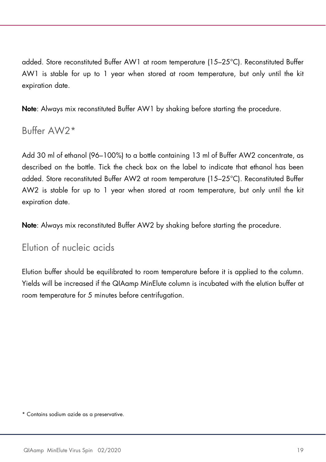added. Store reconstituted Buffer AW1 at room temperature (15–25°C). Reconstituted Buffer AW1 is stable for up to 1 year when stored at room temperature, but only until the kit expiration date.

Note: Always mix reconstituted Buffer AW1 by shaking before starting the procedure.

Buffer AW2\*

Add 30 ml of ethanol (96–100%) to a bottle containing 13 ml of Buffer AW2 concentrate, as described on the bottle. Tick the check box on the label to indicate that ethanol has been added. Store reconstituted Buffer AW2 at room temperature (15–25°C). Reconstituted Buffer AW2 is stable for up to 1 year when stored at room temperature, but only until the kit expiration date.

Note: Always mix reconstituted Buffer AW2 by shaking before starting the procedure.

Elution of nucleic acids

Elution buffer should be equilibrated to room temperature before it is applied to the column. Yields will be increased if the QIAamp MinElute column is incubated with the elution buffer at room temperature for 5 minutes before centrifugation.

\* Contains sodium azide as a preservative.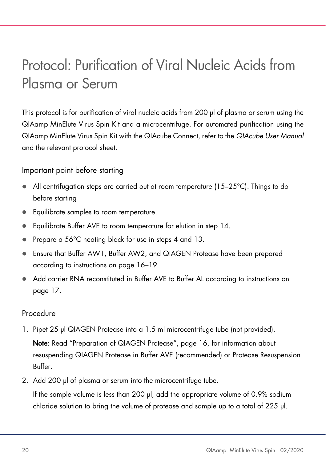# Protocol: Purification of Viral Nucleic Acids from Plasma or Serum

This protocol is for purification of viral nucleic acids from 200 µl of plasma or serum using the QIAamp MinElute Virus Spin Kit and a microcentrifuge. For automated purification using the QIAamp MinElute Virus Spin Kit with the QIAcube Connect, refer to the QIAcube User Manual and the relevant protocol sheet.

Important point before starting

- All centrifugation steps are carried out at room temperature  $(15-25^{\circ}C)$ . Things to do before starting
- **Equilibrate samples to room temperature.**
- Equilibrate Buffer AVE to room temperature for elution in step 14.
- Prepare a 56°C heating block for use in steps 4 and 13.
- Ensure that Buffer AW1, Buffer AW2, and QIAGEN Protease have been prepared according to instructions on page 16–19.
- Add carrier RNA reconstituted in Buffer AVE to Buffer AL according to instructions on page 17.

#### Procedure

- 1. Pipet 25 µl QIAGEN Protease into a 1.5 ml microcentrifuge tube (not provided). Note: Read "Preparation of QIAGEN Protease", page 16, for information about resuspending QIAGEN Protease in Buffer AVE (recommended) or Protease Resuspension Buffer.
- 2. Add 200 µl of plasma or serum into the microcentrifuge tube.

If the sample volume is less than 200 µl, add the appropriate volume of 0.9% sodium chloride solution to bring the volume of protease and sample up to a total of 225 µl.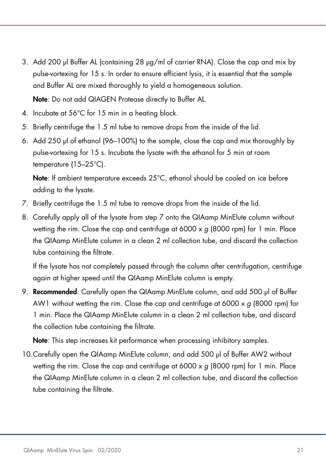3. Add 200 µl Buffer AL (containing 28 µg/ml of carrier RNA). Close the cap and mix by pulse-vortexing for 15 s. In order to ensure efficient lysis, it is essential that the sample and Buffer AL are mixed thoroughly to yield a homogeneous solution.

Note: Do not add QIAGEN Protease directly to Buffer AL.

- 4. Incubate at 56°C for 15 min in a heating block.
- 5. Briefly centrifuge the 1.5 ml tube to remove drops from the inside of the lid.
- 6. Add 250 µl of ethanol (96–100%) to the sample, close the cap and mix thoroughly by pulse-vortexing for 15 s. Incubate the lysate with the ethanol for 5 min at room temperature (15–25°C).

Note: If ambient temperature exceeds 25°C, ethanol should be cooled on ice before adding to the lysate.

- 7. Briefly centrifuge the 1.5 ml tube to remove drops from the inside of the lid.
- 8. Carefully apply all of the lysate from step 7 onto the QIAamp MinElute column without wetting the rim. Close the cap and centrifuge at 6000 x g (8000 rpm) for 1 min. Place the QIAamp MinElute column in a clean 2 ml collection tube, and discard the collection tube containing the filtrate.

If the lysate has not completely passed through the column after centrifugation, centrifuge again at higher speed until the QIAamp MinElute column is empty.

9. Recommended: Carefully open the QIAamp MinElute column, and add 500 µl of Buffer AW1 without wetting the rim. Close the cap and centrifuge at 6000 x  $q$  (8000 rpm) for 1 min. Place the QIAamp MinElute column in a clean 2 ml collection tube, and discard the collection tube containing the filtrate.

Note: This step increases kit performance when processing inhibitory samples.

10.Carefully open the QIAamp MinElute column, and add 500 µl of Buffer AW2 without wetting the rim. Close the cap and centrifuge at 6000 x  $q$  (8000 rpm) for 1 min. Place the QIAamp MinElute column in a clean 2 ml collection tube, and discard the collection tube containing the filtrate.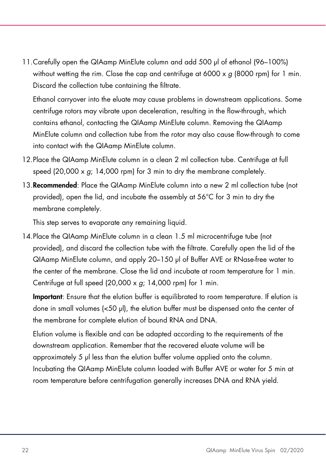11.Carefully open the QIAamp MinElute column and add 500 µl of ethanol (96–100%) without wetting the rim. Close the cap and centrifuge at 6000 x  $q$  (8000 rpm) for 1 min. Discard the collection tube containing the filtrate.

Ethanol carryover into the eluate may cause problems in downstream applications. Some centrifuge rotors may vibrate upon deceleration, resulting in the flow-through, which contains ethanol, contacting the QIAamp MinElute column. Removing the QIAamp MinElute column and collection tube from the rotor may also cause flow-through to come into contact with the QIAamp MinElute column.

- 12.Place the QIAamp MinElute column in a clean 2 ml collection tube. Centrifuge at full speed (20,000 x g; 14,000 rpm) for 3 min to dry the membrane completely.
- 13.Recommended: Place the QIAamp MinElute column into a new 2 ml collection tube (not provided), open the lid, and incubate the assembly at 56°C for 3 min to dry the membrane completely.

This step serves to evaporate any remaining liquid.

14.Place the QIAamp MinElute column in a clean 1.5 ml microcentrifuge tube (not provided), and discard the collection tube with the filtrate. Carefully open the lid of the QIAamp MinElute column, and apply 20–150 µl of Buffer AVE or RNase-free water to the center of the membrane. Close the lid and incubate at room temperature for 1 min. Centrifuge at full speed  $(20,000 \times q; 14,000 \text{ rpm})$  for 1 min.

Important: Ensure that the elution buffer is equilibrated to room temperature. If elution is done in small volumes (<50 µl), the elution buffer must be dispensed onto the center of the membrane for complete elution of bound RNA and DNA.

Elution volume is flexible and can be adapted according to the requirements of the downstream application. Remember that the recovered eluate volume will be approximately 5 µl less than the elution buffer volume applied onto the column. Incubating the QIAamp MinElute column loaded with Buffer AVE or water for 5 min at room temperature before centrifugation generally increases DNA and RNA yield.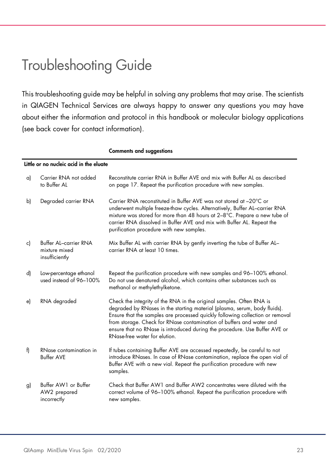### Troubleshooting Guide

This troubleshooting guide may be helpful in solving any problems that may arise. The scientists in QIAGEN Technical Services are always happy to answer any questions you may have about either the information and protocol in this handbook or molecular biology applications (see back cover for contact information).

|    |                                                          | <b>Comments and suggestions</b>                                                                                                                                                                                                                                                                                                                                                                                           |
|----|----------------------------------------------------------|---------------------------------------------------------------------------------------------------------------------------------------------------------------------------------------------------------------------------------------------------------------------------------------------------------------------------------------------------------------------------------------------------------------------------|
|    | Little or no nucleic acid in the eluate                  |                                                                                                                                                                                                                                                                                                                                                                                                                           |
| a) | Carrier RNA not added<br>to Buffer AL                    | Reconstitute carrier RNA in Buffer AVE and mix with Buffer AL as described<br>on page 17. Repeat the purification procedure with new samples.                                                                                                                                                                                                                                                                             |
| b) | Degraded carrier RNA                                     | Carrier RNA reconstituted in Buffer AVE was not stored at -20°C or<br>underwent multiple freeze-thaw cycles. Alternatively, Buffer AL-carrier RNA<br>mixture was stored for more than 48 hours at 2-8°C. Prepare a new tube of<br>carrier RNA dissolved in Buffer AVE and mix with Buffer AL. Repeat the<br>purification procedure with new samples.                                                                      |
| c) | Buffer AL-carrier RNA<br>mixture mixed<br>insufficiently | Mix Buffer AL with carrier RNA by gently inverting the tube of Buffer AL-<br>carrier RNA at least 10 times.                                                                                                                                                                                                                                                                                                               |
| d) | Low-percentage ethanol<br>used instead of 96-100%        | Repeat the purification procedure with new samples and 96-100% ethanol.<br>Do not use denatured alcohol, which contains other substances such as<br>methanol or methylethylketone.                                                                                                                                                                                                                                        |
| e) | RNA degraded                                             | Check the integrity of the RNA in the original samples. Often RNA is<br>degraded by RNases in the starting material (plasma, serum, body fluids).<br>Ensure that the samples are processed quickly following collection or removal<br>from storage. Check for RNase contamination of buffers and water and<br>ensure that no RNase is introduced during the procedure. Use Buffer AVE or<br>RNase-free water for elution. |
| f) | RNase contamination in<br><b>Buffer AVE</b>              | If tubes containing Buffer AVE are accessed repeatedly, be careful to not<br>introduce RNases. In case of RNase contamination, replace the open vial of<br>Buffer AVE with a new vial. Repeat the purification procedure with new<br>samples.                                                                                                                                                                             |
| g) | Buffer AW1 or Buffer<br>AW2 prepared<br>incorrectly      | Check that Buffer AW1 and Buffer AW2 concentrates were diluted with the<br>correct volume of 96-100% ethanol. Repeat the purification procedure with<br>new samples.                                                                                                                                                                                                                                                      |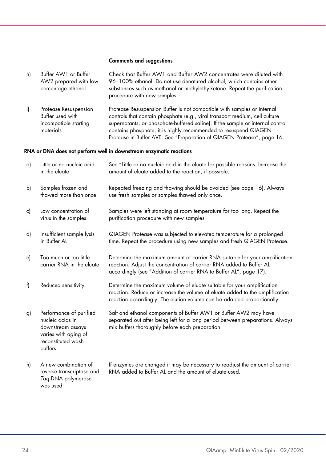#### Comments and suggestions

| h) | Buffer AW1 or Buffer<br>AW2 prepared with low-<br>percentage ethanol                                                       | Check that Buffer AW1 and Buffer AW2 concentrates were diluted with<br>96-100% ethanol. Do not use denatured alcohol, which contains other<br>substances such as methanol or methylethylketone. Repeat the purification<br>procedure with new samples.                                                                                                                                 |
|----|----------------------------------------------------------------------------------------------------------------------------|----------------------------------------------------------------------------------------------------------------------------------------------------------------------------------------------------------------------------------------------------------------------------------------------------------------------------------------------------------------------------------------|
| i) | Protease Resuspension<br>Buffer used with<br>incompatible starting<br>materials                                            | Protease Resuspension Buffer is not compatible with samples or internal<br>controls that contain phosphate (e.g., viral transport medium, cell culture<br>supernatants, or phosphate-buffered saline). If the sample or internal control<br>contains phosphate, it is highly recommended to resuspend QIAGEN<br>Protease in Buffer AVE. See "Preparation of QIAGEN Protease", page 16. |
|    |                                                                                                                            | RNA or DNA does not perform well in downstream enzymatic reactions                                                                                                                                                                                                                                                                                                                     |
| a) | Little or no nucleic acid<br>in the eluate                                                                                 | See "Little or no nucleic acid in the eluate for possible reasons. Increase the<br>amount of eluate added to the reaction, if possible.                                                                                                                                                                                                                                                |
| b) | Samples frozen and<br>thawed more than once                                                                                | Repeated freezing and thawing should be avoided (see page 16). Always<br>use fresh samples or samples thawed only once.                                                                                                                                                                                                                                                                |
| c) | Low concentration of<br>virus in the samples.                                                                              | Samples were left standing at room temperature for too long. Repeat the<br>purification procedure with new samples                                                                                                                                                                                                                                                                     |
| d) | Insufficient sample lysis<br>in Buffer AL                                                                                  | QIAGEN Protease was subjected to elevated temperature for a prolonged<br>time. Repeat the procedure using new samples and fresh QIAGEN Protease.                                                                                                                                                                                                                                       |
| e) | Too much or too little<br>carrier RNA in the eluate                                                                        | Determine the maximum amount of carrier RNA suitable for your amplification<br>reaction. Adjust the concentration of carrier RNA added to Buffer AL<br>accordingly (see "Addition of carrier RNA to Buffer AL", page 17).                                                                                                                                                              |
| f) | Reduced sensitivity.                                                                                                       | Determine the maximum volume of eluate suitable for your amplification<br>reaction. Reduce or increase the volume of eluate added to the amplification<br>reaction accordingly. The elution volume can be adapted proportionally                                                                                                                                                       |
| g) | Performance of purified<br>nucleic acids in<br>downstream assays<br>varies with aging of<br>reconstituted wash<br>buffers. | Salt and ethanol components of Buffer AW1 or Buffer AW2 may have<br>separated out after being left for a long period between preparations. Always<br>mix buffers thoroughly before each preparation                                                                                                                                                                                    |
| h) | A new combination of<br>reverse transcriptase and<br>Tag DNA polymerase<br>was used                                        | If enzymes are changed it may be necessary to readjust the amount of carrier<br>RNA added to Buffer AL and the amount of eluate used.                                                                                                                                                                                                                                                  |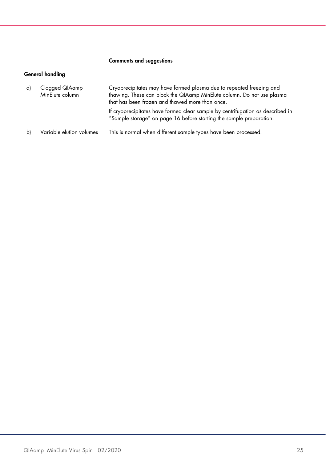#### Comments and suggestions

#### General handling

| a) | Clogged QIAamp<br>MinElute column | Cryoprecipitates may have formed plasma due to repeated freezing and<br>thawing. These can block the QIAamp MinElute column. Do not use plasma<br>that has been frozen and thawed more than once. |
|----|-----------------------------------|---------------------------------------------------------------------------------------------------------------------------------------------------------------------------------------------------|
|    |                                   | If cryoprecipitates have formed clear sample by centrifugation as described in<br>"Sample storage" on page 16 before starting the sample preparation.                                             |
| Ы  | Variable elution volumes          | This is normal when different sample types have been processed.                                                                                                                                   |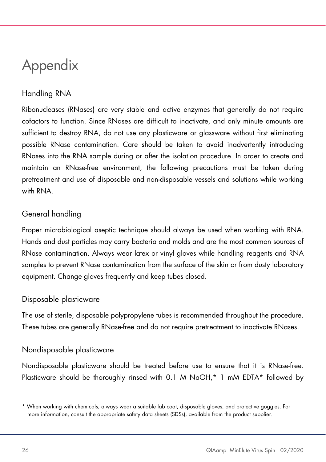# Appendix

#### Handling RNA

Ribonucleases (RNases) are very stable and active enzymes that generally do not require cofactors to function. Since RNases are difficult to inactivate, and only minute amounts are sufficient to destroy RNA, do not use any plasticware or glassware without first eliminating possible RNase contamination. Care should be taken to avoid inadvertently introducing RNases into the RNA sample during or after the isolation procedure. In order to create and maintain an RNase-free environment, the following precautions must be taken during pretreatment and use of disposable and non-disposable vessels and solutions while working with RNA.

#### General handling

Proper microbiological aseptic technique should always be used when working with RNA. Hands and dust particles may carry bacteria and molds and are the most common sources of RNase contamination. Always wear latex or vinyl gloves while handling reagents and RNA samples to prevent RNase contamination from the surface of the skin or from dusty laboratory equipment. Change gloves frequently and keep tubes closed.

#### Disposable plasticware

The use of sterile, disposable polypropylene tubes is recommended throughout the procedure. These tubes are generally RNase-free and do not require pretreatment to inactivate RNases.

#### Nondisposable plasticware

Nondisposable plasticware should be treated before use to ensure that it is RNase-free. Plasticware should be thoroughly rinsed with 0.1 M NaOH,\* 1 mM EDTA\* followed by

<sup>\*</sup> When working with chemicals, always wear a suitable lab coat, disposable gloves, and protective goggles. For more information, consult the appropriate safety data sheets (SDSs), available from the product supplier.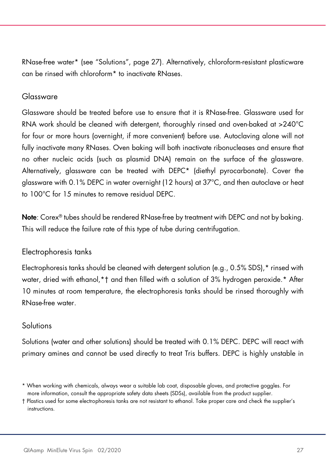RNase-free water\* (see "Solutions", page 27). Alternatively, chloroform-resistant plasticware can be rinsed with chloroform\* to inactivate RNases.

#### Glassware

Glassware should be treated before use to ensure that it is RNase-free. Glassware used for RNA work should be cleaned with detergent, thoroughly rinsed and oven-baked at >240°C for four or more hours (overnight, if more convenient) before use. Autoclaving alone will not fully inactivate many RNases. Oven baking will both inactivate ribonucleases and ensure that no other nucleic acids (such as plasmid DNA) remain on the surface of the glassware. Alternatively, glassware can be treated with DEPC\* (diethyl pyrocarbonate). Cover the glassware with 0.1% DEPC in water overnight (12 hours) at 37°C, and then autoclave or heat to 100°C for 15 minutes to remove residual DEPC.

Note: Corex® tubes should be rendered RNase-free by treatment with DEPC and not by baking. This will reduce the failure rate of this type of tube during centrifugation.

#### Electrophoresis tanks

Electrophoresis tanks should be cleaned with detergent solution (e.g., 0.5% SDS),\* rinsed with water, dried with ethanol, \* † and then filled with a solution of 3% hydrogen peroxide. \* After 10 minutes at room temperature, the electrophoresis tanks should be rinsed thoroughly with RNase-free water.

#### **Solutions**

Solutions (water and other solutions) should be treated with 0.1% DEPC. DEPC will react with primary amines and cannot be used directly to treat Tris buffers. DEPC is highly unstable in

<sup>\*</sup> When working with chemicals, always wear a suitable lab coat, disposable gloves, and protective goggles. For more information, consult the appropriate safety data sheets (SDSs), available from the product supplier.

<sup>†</sup> Plastics used for some electrophoresis tanks are not resistant to ethanol. Take proper care and check the supplier's instructions.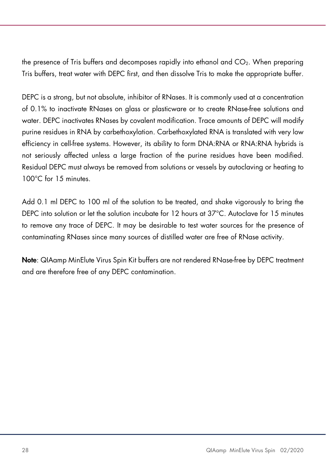the presence of Tris buffers and decomposes rapidly into ethanol and CO2. When preparing Tris buffers, treat water with DEPC first, and then dissolve Tris to make the appropriate buffer.

DEPC is a strong, but not absolute, inhibitor of RNases. It is commonly used at a concentration of 0.1% to inactivate RNases on glass or plasticware or to create RNase-free solutions and water. DEPC inactivates RNases by covalent modification. Trace amounts of DEPC will modify purine residues in RNA by carbethoxylation. Carbethoxylated RNA is translated with very low efficiency in cell-free systems. However, its ability to form DNA:RNA or RNA:RNA hybrids is not seriously affected unless a large fraction of the purine residues have been modified. Residual DEPC must always be removed from solutions or vessels by autoclaving or heating to 100°C for 15 minutes.

Add 0.1 ml DEPC to 100 ml of the solution to be treated, and shake vigorously to bring the DEPC into solution or let the solution incubate for 12 hours at 37°C. Autoclave for 15 minutes to remove any trace of DEPC. It may be desirable to test water sources for the presence of contaminating RNases since many sources of distilled water are free of RNase activity.

Note: QIAamp MinElute Virus Spin Kit buffers are not rendered RNase-free by DEPC treatment and are therefore free of any DEPC contamination.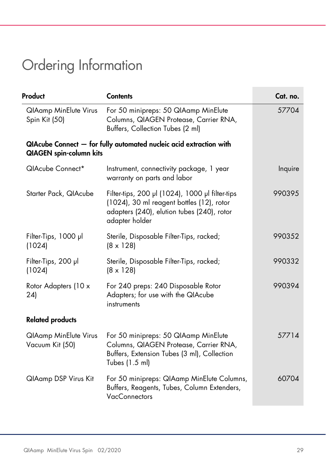# Ordering Information

| Product                                         | <b>Contents</b>                                                                                                                                              | Cat. no. |
|-------------------------------------------------|--------------------------------------------------------------------------------------------------------------------------------------------------------------|----------|
| <b>QIAamp MinElute Virus</b><br>Spin Kit (50)   | For 50 minipreps: 50 QIAamp MinElute<br>Columns, QIAGEN Protease, Carrier RNA,<br>Buffers, Collection Tubes (2 ml)                                           | 57704    |
| <b>QIAGEN</b> spin-column kits                  | QIAcube Connect - for fully automated nucleic acid extraction with                                                                                           |          |
| QIAcube Connect*                                | Instrument, connectivity package, 1 year<br>warranty on parts and labor                                                                                      | Inquire  |
| Starter Pack, QIAcube                           | Filter-tips, 200 µl (1024), 1000 µl filter-tips<br>(1024), 30 ml reagent bottles (12), rotor<br>adapters (240), elution tubes (240), rotor<br>adapter holder | 990395   |
| Filter-Tips, 1000 µl<br>(1024)                  | Sterile, Disposable Filter-Tips, racked;<br>$(8 \times 128)$                                                                                                 | 990352   |
| Filter-Tips, 200 µl<br>(1024)                   | Sterile, Disposable Filter-Tips, racked;<br>$(8 \times 128)$                                                                                                 | 990332   |
| Rotor Adapters (10 x<br>24)                     | For 240 preps: 240 Disposable Rotor<br>Adapters; for use with the QIAcube<br>instruments                                                                     | 990394   |
| <b>Related products</b>                         |                                                                                                                                                              |          |
| <b>QIAamp MinElute Virus</b><br>Vacuum Kit (50) | For 50 minipreps: 50 QIAamp MinElute<br>Columns, QIAGEN Protease, Carrier RNA,<br>Buffers, Extension Tubes (3 ml), Collection<br>Tubes (1.5 ml)              | 57714    |
| <b>QlAamp DSP Virus Kit</b>                     | For 50 minipreps: QIAamp MinElute Columns,<br>Buffers, Reagents, Tubes, Column Extenders,<br><b>VacConnectors</b>                                            | 60704    |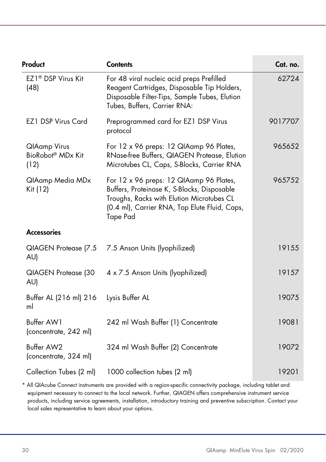| Product                                                      | <b>Contents</b>                                                                                                                                                                                         | Cat. no. |
|--------------------------------------------------------------|---------------------------------------------------------------------------------------------------------------------------------------------------------------------------------------------------------|----------|
| EZ1 <sup>®</sup> DSP Virus Kit<br>(48)                       | For 48 viral nucleic acid preps Prefilled<br>Reagent Cartridges, Disposable Tip Holders,<br>Disposable Filter-Tips, Sample Tubes, Elution<br>Tubes, Buffers, Carrier RNA:                               | 62724    |
| EZ1 DSP Virus Card                                           | Preprogrammed card for EZ1 DSP Virus<br>protocol                                                                                                                                                        | 9017707  |
| <b>QlAamp Virus</b><br>BioRobot <sup>®</sup> MDx Kit<br>(12) | For 12 x 96 preps: 12 QIAamp 96 Plates,<br>RNase-free Buffers, QIAGEN Protease, Elution<br>Microtubes CL, Caps, S-Blocks, Carrier RNA                                                                   | 965652   |
| QIAamp Media MDx<br>Kit (12)                                 | For 12 x 96 preps: 12 QIAamp 96 Plates,<br>Buffers, Proteinase K, S-Blocks, Disposable<br>Troughs, Racks with Elution Microtubes CL<br>(0.4 ml), Carrier RNA, Top Elute Fluid, Caps,<br><b>Tape Pad</b> | 965752   |
| <b>Accessories</b>                                           |                                                                                                                                                                                                         |          |
| QIAGEN Protease (7.5<br>AU)                                  | 7.5 Anson Units (lyophilized)                                                                                                                                                                           | 19155    |
| QIAGEN Protease (30<br>AU)                                   | 4 x 7.5 Anson Units (lyophilized)                                                                                                                                                                       | 19157    |
| Buffer AL (216 ml) 216<br>ml                                 | Lysis Buffer AL                                                                                                                                                                                         | 19075    |
| Buffer AW1<br>(concentrate, 242 ml)                          | 242 ml Wash Buffer (1) Concentrate                                                                                                                                                                      | 19081    |
| Buffer AW2<br>(concentrate, 324 ml)                          | 324 ml Wash Buffer (2) Concentrate                                                                                                                                                                      | 19072    |
| Collection Tubes (2 ml)                                      | 1000 collection tubes (2 ml)                                                                                                                                                                            | 19201    |
|                                                              |                                                                                                                                                                                                         |          |

\* All QIAcube Connect instruments are provided with a region-specific connectivity package, including tablet and equipment necessary to connect to the local network. Further, QIAGEN offers comprehensive instrument service products, including service agreements, installation, introductory training and preventive subscription. Contact your local sales representative to learn about your options.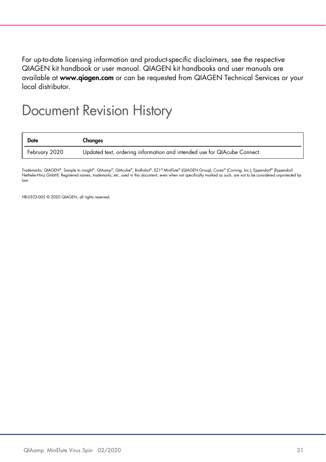For up-to-date licensing information and product-specific disclaimers, see the respective QIAGEN kit handbook or user manual. QIAGEN kit handbooks and user manuals are available at www.qiagen.com or can be requested from QIAGEN Technical Services or your local distributor.

### Document Revision History

| <b>Date</b>   | Changes                                                                  |
|---------------|--------------------------------------------------------------------------|
| February 2020 | Updated text, ordering information and intended use for QIAcube Connect. |

Trademarks: QIAGEN®, Sample to insight®, QIAamp®, QIAcube®, BioRobot®, EZ1® MinElute® (QIAGEN Group); Corex® (Corning, Inc.); Eppendorf® (Eppendorf Netheler-Hinz GmbH). Registered names, trademarks, etc. used in this document, even when not specifically marked as such, are not to be considered unprotected by law.

HB-0323-005 © 2020 QIAGEN, all rights reserved.